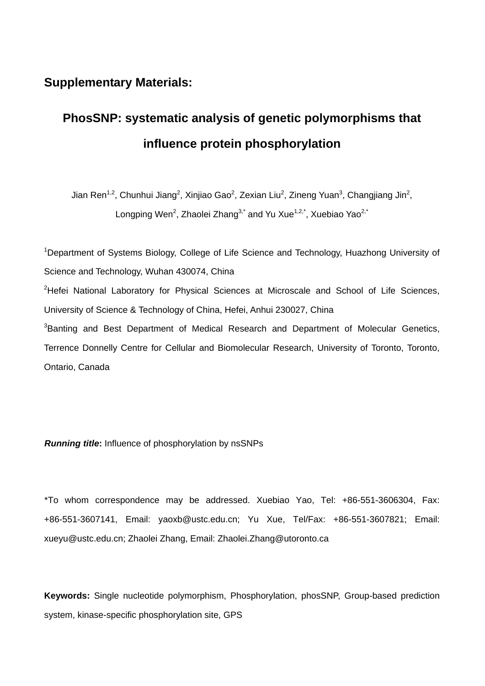## **Supplementary Materials:**

## **PhosSNP: systematic analysis of genetic polymorphisms that influence protein phosphorylation**

Jian Ren<sup>1,2</sup>, Chunhui Jiang<sup>2</sup>, Xinjiao Gao<sup>2</sup>, Zexian Liu<sup>2</sup>, Zineng Yuan<sup>3</sup>, Changjiang Jin<sup>2</sup>, Longping Wen<sup>2</sup>, Zhaolei Zhang<sup>3,\*</sup> and Yu Xue<sup>1,2,\*</sup>, Xuebiao Yao<sup>2,\*</sup>

<sup>1</sup>Department of Systems Biology, College of Life Science and Technology, Huazhong University of Science and Technology, Wuhan 430074, China <sup>2</sup>Hefei National Laboratory for Physical Sciences at Microscale and School of Life Sciences, University of Science & Technology of China, Hefei, Anhui 230027, China <sup>3</sup>Banting and Best Department of Medical Research and Department of Molecular Genetics, Terrence Donnelly Centre for Cellular and Biomolecular Research, University of Toronto, Toronto, Ontario, Canada

*Running title***:** Influence of phosphorylation by nsSNPs

\*To whom correspondence may be addressed. Xuebiao Yao, Tel: +86-551-3606304, Fax: +86-551-3607141, Email: yaoxb@ustc.edu.cn; Yu Xue, Tel/Fax: +86-551-3607821; Email: xueyu@ustc.edu.cn; Zhaolei Zhang, Email: Zhaolei.Zhang@utoronto.ca

**Keywords:** Single nucleotide polymorphism, Phosphorylation, phosSNP, Group-based prediction system, kinase-specific phosphorylation site, GPS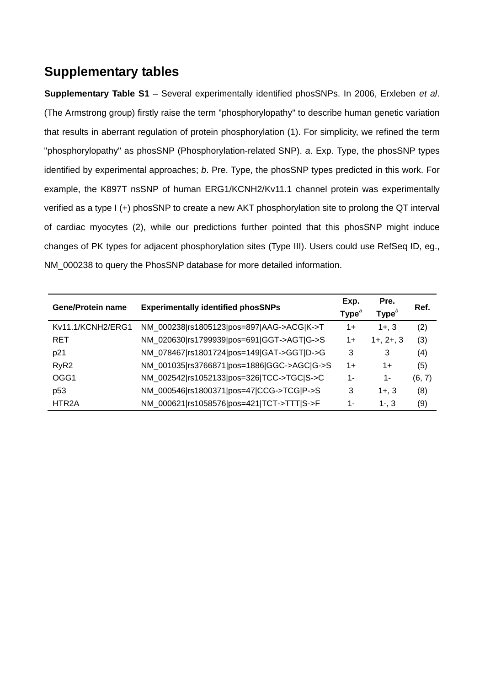## **Supplementary tables**

**Supplementary Table S1** – Several experimentally identified phosSNPs. In 2006, Erxleben *et al*. (The Armstrong group) firstly raise the term "phosphorylopathy" to describe human genetic variation that results in aberrant regulation of protein phosphorylation (1). For simplicity, we refined the term "phosphorylopathy" as phosSNP (Phosphorylation-related SNP). *a*. Exp. Type, the phosSNP types identified by experimental approaches; *b*. Pre. Type, the phosSNP types predicted in this work. For example, the K897T nsSNP of human ERG1/KCNH2/Kv11.1 channel protein was experimentally verified as a type I (+) phosSNP to create a new AKT phosphorylation site to prolong the QT interval of cardiac myocytes (2), while our predictions further pointed that this phosSNP might induce changes of PK types for adjacent phosphorylation sites (Type III). Users could use RefSeq ID, eg., NM\_000238 to query the PhosSNP database for more detailed information.

| <b>Gene/Protein name</b> | <b>Experimentally identified phosSNPs</b>  | Exp.<br>Type $^{\circ}$ | Pre.<br>Type <sup>b</sup> | Ref.   |
|--------------------------|--------------------------------------------|-------------------------|---------------------------|--------|
| Kv11.1/KCNH2/ERG1        | NM_000238 rs1805123 pos=897 AAG->ACG K->T  | $1+$                    | $1 + 3$                   | (2)    |
| <b>RET</b>               | NM_020630 rs1799939 pos=691 GGT->AGT G->S  | $1+$                    | $1+, 2+, 3$               | (3)    |
| p21                      | NM 078467 rs1801724 pos=149 GAT->GGT D->G  | 3                       | 3                         | (4)    |
| RyR <sub>2</sub>         | NM 001035 rs3766871 pos=1886 GGC->AGC G->S | $1+$                    | $1+$                      | (5)    |
| OGG1                     | NM_002542 rs1052133 pos=326 TCC->TGC S->C  | 1-                      | 1-                        | (6, 7) |
| p <sub>53</sub>          | NM_000546 rs1800371 pos=47 CCG->TCG P->S   | 3                       | $1 + 3$                   | (8)    |
| HTR <sub>2</sub> A       | NM 000621 rs1058576 pos=421 TCT->TTT S->F  | 1-                      | $1 - 3$                   | (9)    |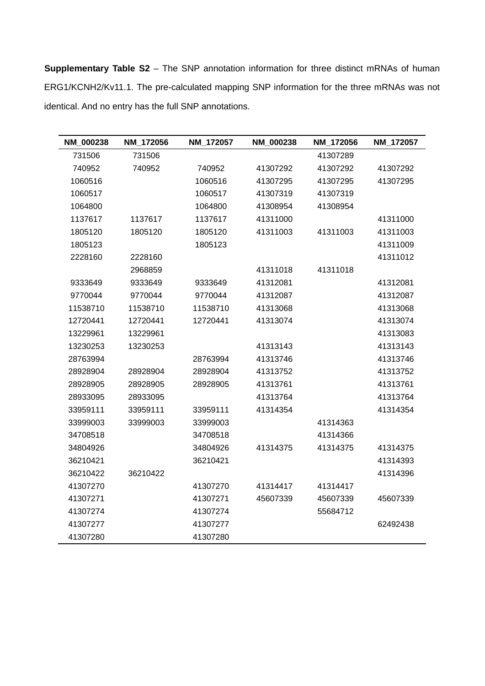**Supplementary Table S2** – The SNP annotation information for three distinct mRNAs of human ERG1/KCNH2/Kv11.1. The pre-calculated mapping SNP information for the three mRNAs was not identical. And no entry has the full SNP annotations.

| NM_000238 | NM_172056 | NM_172057 | NM_000238 | NM_172056 | NM_172057 |
|-----------|-----------|-----------|-----------|-----------|-----------|
| 731506    | 731506    |           |           | 41307289  |           |
| 740952    | 740952    | 740952    | 41307292  | 41307292  | 41307292  |
| 1060516   |           | 1060516   | 41307295  | 41307295  | 41307295  |
| 1060517   |           | 1060517   | 41307319  | 41307319  |           |
| 1064800   |           | 1064800   | 41308954  | 41308954  |           |
| 1137617   | 1137617   | 1137617   | 41311000  |           | 41311000  |
| 1805120   | 1805120   | 1805120   | 41311003  | 41311003  | 41311003  |
| 1805123   |           | 1805123   |           |           | 41311009  |
| 2228160   | 2228160   |           |           |           | 41311012  |
|           | 2968859   |           | 41311018  | 41311018  |           |
| 9333649   | 9333649   | 9333649   | 41312081  |           | 41312081  |
| 9770044   | 9770044   | 9770044   | 41312087  |           | 41312087  |
| 11538710  | 11538710  | 11538710  | 41313068  |           | 41313068  |
| 12720441  | 12720441  | 12720441  | 41313074  |           | 41313074  |
| 13229961  | 13229961  |           |           |           | 41313083  |
| 13230253  | 13230253  |           | 41313143  |           | 41313143  |
| 28763994  |           | 28763994  | 41313746  |           | 41313746  |
| 28928904  | 28928904  | 28928904  | 41313752  |           | 41313752  |
| 28928905  | 28928905  | 28928905  | 41313761  |           | 41313761  |
| 28933095  | 28933095  |           | 41313764  |           | 41313764  |
| 33959111  | 33959111  | 33959111  | 41314354  |           | 41314354  |
| 33999003  | 33999003  | 33999003  |           | 41314363  |           |
| 34708518  |           | 34708518  |           | 41314366  |           |
| 34804926  |           | 34804926  | 41314375  | 41314375  | 41314375  |
| 36210421  |           | 36210421  |           |           | 41314393  |
| 36210422  | 36210422  |           |           |           | 41314396  |
| 41307270  |           | 41307270  | 41314417  | 41314417  |           |
| 41307271  |           | 41307271  | 45607339  | 45607339  | 45607339  |
| 41307274  |           | 41307274  |           | 55684712  |           |
| 41307277  |           | 41307277  |           |           | 62492438  |
| 41307280  |           | 41307280  |           |           |           |